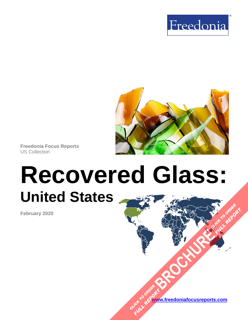



**Freedonia Focus Reports** US Collection

# **Recovered Glass: United States [BROCHURE](https://www.freedoniafocusreports.com/Recovered-Glass-United-States-FF65050/?progid=89541) CLICK TO ORDER**

**February 2020**

**[www.freedoniafocusreports.com](https://www.freedoniafocusreports.com/redirect.asp?progid=89534&url=/)** CLICK TO ORDER **FULL REPORT** 

**FULL REPORT**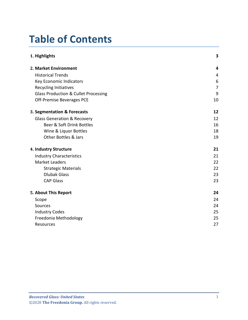# **Table of Contents**

| 1. Highlights                                   | 3              |
|-------------------------------------------------|----------------|
| 2. Market Environment                           | 4              |
| <b>Historical Trends</b>                        | 4              |
| <b>Key Economic Indicators</b>                  | 6              |
| <b>Recycling Initiatives</b>                    | $\overline{7}$ |
| <b>Glass Production &amp; Cullet Processing</b> | 9              |
| Off-Premise Beverages PCE                       | 10             |
| 3. Segmentation & Forecasts                     | 12             |
| <b>Glass Generation &amp; Recovery</b>          | 12             |
| Beer & Soft Drink Bottles                       | 16             |
| Wine & Liquor Bottles                           | 18             |
| <b>Other Bottles &amp; Jars</b>                 | 19             |
| 4. Industry Structure                           | 21             |
| <b>Industry Characteristics</b>                 | 21             |
| <b>Market Leaders</b>                           | 22             |
| <b>Strategic Materials</b>                      | 22             |
| <b>Dlubak Glass</b>                             | 23             |
| <b>CAP Glass</b>                                | 23             |
| 5. About This Report                            | 24             |
| Scope                                           | 24             |
| Sources                                         | 24             |
| <b>Industry Codes</b>                           | 25             |
| Freedonia Methodology                           | 25             |
| Resources                                       | 27             |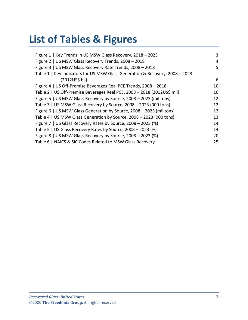# **List of Tables & Figures**

| Figure 1   Key Trends in US MSW Glass Recovery, 2018 - 2023                  | 3  |
|------------------------------------------------------------------------------|----|
| Figure 2   US MSW Glass Recovery Trends, 2008 - 2018                         | 4  |
| Figure 3   US MSW Glass Recovery Rate Trends, 2008 - 2018                    | 5  |
| Table 1   Key Indicators for US MSW Glass Generation & Recovery, 2008 - 2023 |    |
| (2012US\$ bil)                                                               | 6  |
| Figure 4   US Off-Premise Beverages Real PCE Trends, 2008 - 2018             | 10 |
| Table 2   US Off-Premise Beverages Real PCE, 2008 - 2018 (2012US\$ mil)      | 10 |
| Figure 5   US MSW Glass Recovery by Source, 2008 - 2023 (mil tons)           | 12 |
| Table 3   US MSW Glass Recovery by Source, 2008 - 2023 (000 tons)            | 12 |
| Figure 6   US MSW Glass Generation by Source, 2008 - 2023 (mil tons)         | 13 |
| Table 4   US MSW Glass Generation by Source, 2008 - 2023 (000 tons)          | 13 |
| Figure 7   US Glass Recovery Rates by Source, 2008 - 2023 (%)                | 14 |
| Table 5   US Glass Recovery Rates by Source, 2008 - 2023 (%)                 | 14 |
| Figure 8   US MSW Glass Recovery by Source, 2008 - 2023 (%)                  | 20 |
| Table 6   NAICS & SIC Codes Related to MSW Glass Recovery                    | 25 |
|                                                                              |    |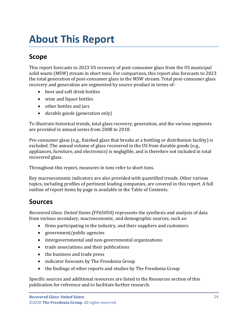# <span id="page-3-0"></span>**About This Report**

# <span id="page-3-1"></span>**Scope**

This report forecasts to 2023 US recovery of post-consumer glass from the US municipal solid waste (MSW) stream in short tons. For comparison, this report also forecasts to 2023 the total generation of post-consumer glass in the MSW stream. Total post-consumer glass recovery and generation are segmented by source product in terms of:

- beer and soft drink bottles
- wine and liquor bottles
- other bottles and jars
- durable goods (generation only)

To illustrate historical trends, total glass recovery, generation, and the various segments are provided in annual series from 2008 to 2018.

Pre-consumer glass (e.g., finished glass that breaks at a bottling or distribution facility) is excluded. The annual volume of glass recovered in the US from durable goods (e.g., appliances, furniture, and electronics) is negligible, and is therefore not included in total recovered glass.

Throughout this report, measures in tons refer to short tons.

Key macroeconomic indicators are also provided with quantified trends. Other various topics, including profiles of pertinent leading companies, are covered in this report. A full outline of report items by page is available in the Table of Contents.

## <span id="page-3-2"></span>**Sources**

*Recovered Glass: United States* (FF65050) represents the synthesis and analysis of data from various secondary, macroeconomic, and demographic sources, such as:

- firms participating in the industry, and their suppliers and customers
- government/public agencies
- intergovernmental and non-governmental organizations
- trade associations and their publications
- the business and trade press
- indicator forecasts by The Freedonia Group
- the findings of other reports and studies by The Freedonia Group

Specific sources and additional resources are listed in the Resources section of this publication for reference and to facilitate further research.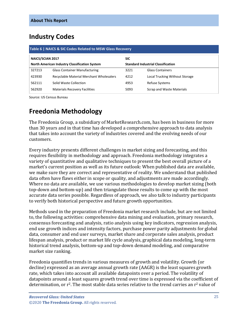## <span id="page-4-0"></span>**Industry Codes**

<span id="page-4-2"></span>

| Table 6   NAICS & SIC Codes Related to MSW Glass Recovery |                                                                                                   |      |                                |  |
|-----------------------------------------------------------|---------------------------------------------------------------------------------------------------|------|--------------------------------|--|
| <b>NAICS/SCIAN 2017</b><br><b>SIC</b>                     |                                                                                                   |      |                                |  |
|                                                           | <b>North American Industry Classification System</b><br><b>Standard Industrial Classification</b> |      |                                |  |
| 327213                                                    | <b>Glass Container Manufacturing</b>                                                              | 3221 | <b>Glass Containers</b>        |  |
| 423930                                                    | Recyclable Material Merchant Wholesalers                                                          | 4212 | Local Trucking Without Storage |  |
| 562111                                                    | Solid Waste Collection                                                                            | 4953 | <b>Refuse Systems</b>          |  |
| 562920                                                    | <b>Materials Recovery Facilities</b>                                                              | 5093 | Scrap and Waste Materials      |  |

Source: US Census Bureau

# <span id="page-4-1"></span>**Freedonia Methodology**

The Freedonia Group, a subsidiary of MarketResearch.com, has been in business for more than 30 years and in that time has developed a comprehensive approach to data analysis that takes into account the variety of industries covered and the evolving needs of our customers.

Every industry presents different challenges in market sizing and forecasting, and this requires flexibility in methodology and approach. Freedonia methodology integrates a variety of quantitative and qualitative techniques to present the best overall picture of a market's current position as well as its future outlook: When published data are available, we make sure they are correct and representative of reality. We understand that published data often have flaws either in scope or quality, and adjustments are made accordingly. Where no data are available, we use various methodologies to develop market sizing (both top-down and bottom-up) and then triangulate those results to come up with the most accurate data series possible. Regardless of approach, we also talk to industry participants to verify both historical perspective and future growth opportunities.

Methods used in the preparation of Freedonia market research include, but are not limited to, the following activities: comprehensive data mining and evaluation, primary research, consensus forecasting and analysis, ratio analysis using key indicators, regression analysis, end use growth indices and intensity factors, purchase power parity adjustments for global data, consumer and end user surveys, market share and corporate sales analysis, product lifespan analysis, product or market life cycle analysis, graphical data modeling, long-term historical trend analysis, bottom-up and top-down demand modeling, and comparative market size ranking.

Freedonia quantifies trends in various measures of growth and volatility. Growth (or decline) expressed as an average annual growth rate (AAGR) is the least squares growth rate, which takes into account all available datapoints over a period. The volatility of datapoints around a least squares growth trend over time is expressed via the coefficient of determination, or r<sup>2</sup>. The most stable data series relative to the trend carries an r<sup>2</sup> value of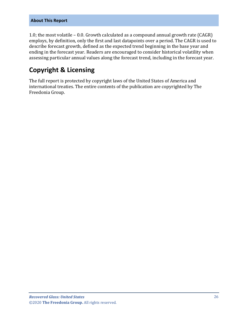#### **About This Report**

1.0; the most volatile – 0.0. Growth calculated as a compound annual growth rate (CAGR) employs, by definition, only the first and last datapoints over a period. The CAGR is used to describe forecast growth, defined as the expected trend beginning in the base year and ending in the forecast year. Readers are encouraged to consider historical volatility when assessing particular annual values along the forecast trend, including in the forecast year.

## **Copyright & Licensing**

The full report is protected by copyright laws of the United States of America and international treaties. The entire contents of the publication are copyrighted by The Freedonia Group.